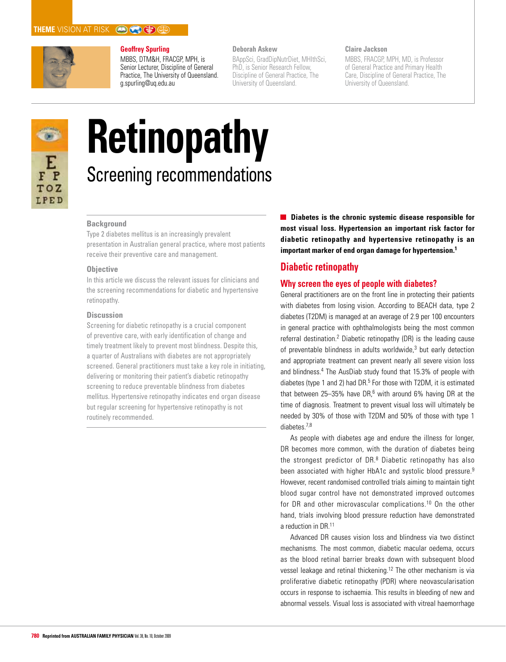

## **Geoffrey Spurling**

MBBS, DTM&H, FRACGP, MPH, is Senior Lecturer, Discipline of General Practice, The University of Queensland. g.spurling@uq.edu.au

## **Deborah Askew**

BAppSci, GradDipNutrDiet, MHlthSci, PhD, is Senior Research Fellow, Discipline of General Practice, The University of Queensland.

### **Claire Jackson**

MBBS, FRACGP, MPH, MD, is Professor of General Practice and Primary Health Care, Discipline of General Practice, The University of Queensland.



# **Retinopathy** Screening recommendations

#### **Background**

Type 2 diabetes mellitus is an increasingly prevalent presentation in Australian general practice, where most patients receive their preventive care and management.

#### **Objective**

In this article we discuss the relevant issues for clinicians and the screening recommendations for diabetic and hypertensive retinopathy.

#### **Discussion**

Screening for diabetic retinopathy is a crucial component of preventive care, with early identification of change and timely treatment likely to prevent most blindness. Despite this, a quarter of Australians with diabetes are not appropriately screened. General practitioners must take a key role in initiating, delivering or monitoring their patient's diabetic retinopathy screening to reduce preventable blindness from diabetes mellitus. Hypertensive retinopathy indicates end organ disease but regular screening for hypertensive retinopathy is not routinely recommended.

**Diabetes is the chronic systemic disease responsible for most visual loss. Hypertension an important risk factor for diabetic retinopathy and hypertensive retinopathy is an important marker of end organ damage for hypertension.1**

## **Diabetic retinopathy**

## **Why screen the eyes of people with diabetes?**

General practitioners are on the front line in protecting their patients with diabetes from losing vision. According to BEACH data, type 2 diabetes (T2DM) is managed at an average of 2.9 per 100 encounters in general practice with ophthalmologists being the most common referral destination.<sup>2</sup> Diabetic retinopathy (DR) is the leading cause of preventable blindness in adults worldwide,<sup>3</sup> but early detection and appropriate treatment can prevent nearly all severe vision loss and blindness.<sup>4</sup> The AusDiab study found that 15.3% of people with diabetes (type 1 and 2) had DR. $5$  For those with T2DM, it is estimated that between  $25-35%$  have DR,<sup>6</sup> with around 6% having DR at the time of diagnosis. Treatment to prevent visual loss will ultimately be needed by 30% of those with T2DM and 50% of those with type 1 diabetes.7,8

As people with diabetes age and endure the illness for longer, DR becomes more common, with the duration of diabetes being the strongest predictor of DR.<sup>8</sup> Diabetic retinopathy has also been associated with higher HbA1c and systolic blood pressure.<sup>9</sup> However, recent randomised controlled trials aiming to maintain tight blood sugar control have not demonstrated improved outcomes for DR and other microvascular complications.10 On the other hand, trials involving blood pressure reduction have demonstrated a reduction in DR.11

Advanced DR causes vision loss and blindness via two distinct mechanisms. The most common, diabetic macular oedema, occurs as the blood retinal barrier breaks down with subsequent blood vessel leakage and retinal thickening.12 The other mechanism is via proliferative diabetic retinopathy (PDR) where neovascularisation occurs in response to ischaemia. This results in bleeding of new and abnormal vessels. Visual loss is associated with vitreal haemorrhage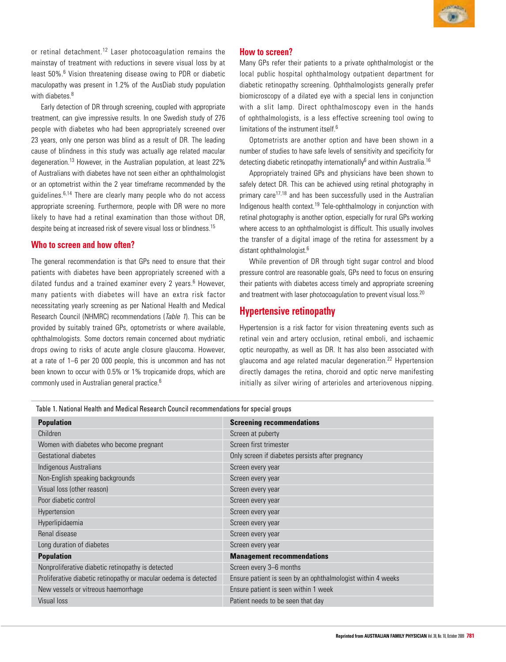

or retinal detachment.<sup>12</sup> Laser photocoagulation remains the mainstay of treatment with reductions in severe visual loss by at least 50%.<sup>6</sup> Vision threatening disease owing to PDR or diabetic maculopathy was present in 1.2% of the AusDiab study population with diabetes.<sup>8</sup>

Early detection of DR through screening, coupled with appropriate treatment, can give impressive results. In one Swedish study of 276 people with diabetes who had been appropriately screened over 23 years, only one person was blind as a result of DR. The leading cause of blindness in this study was actually age related macular degeneration.13 However, in the Australian population, at least 22% of Australians with diabetes have not seen either an ophthalmologist or an optometrist within the 2 year timeframe recommended by the guidelines.6,14 There are clearly many people who do not access appropriate screening. Furthermore, people with DR were no more likely to have had a retinal examination than those without DR, despite being at increased risk of severe visual loss or blindness.<sup>15</sup>

## **Who to screen and how often?**

The general recommendation is that GPs need to ensure that their patients with diabetes have been appropriately screened with a dilated fundus and a trained examiner every 2 years.<sup>6</sup> However, many patients with diabetes will have an extra risk factor necessitating yearly screening as per National Health and Medical Research Council (NHMRC) recommendations (Table 1). This can be provided by suitably trained GPs, optometrists or where available, ophthalmologists. Some doctors remain concerned about mydriatic drops owing to risks of acute angle closure glaucoma. However, at a rate of 1–6 per 20 000 people, this is uncommon and has not been known to occur with 0.5% or 1% tropicamide drops, which are commonly used in Australian general practice.6

### **How to screen?**

Many GPs refer their patients to a private ophthalmologist or the local public hospital ophthalmology outpatient department for diabetic retinopathy screening. Ophthalmologists generally prefer biomicroscopy of a dilated eye with a special lens in conjunction with a slit lamp. Direct ophthalmoscopy even in the hands of ophthalmologists, is a less effective screening tool owing to limitations of the instrument itself.<sup>6</sup>

Optometrists are another option and have been shown in a number of studies to have safe levels of sensitivity and specificity for detecting diabetic retinopathy internationally<sup>6</sup> and within Australia.<sup>16</sup>

Appropriately trained GPs and physicians have been shown to safely detect DR. This can be achieved using retinal photography in primary care<sup>17,18</sup> and has been successfully used in the Australian Indigenous health context.<sup>19</sup> Tele-ophthalmology in conjunction with retinal photography is another option, especially for rural GPs working where access to an ophthalmologist is difficult. This usually involves the transfer of a digital image of the retina for assessment by a distant ophthalmologist.<sup>6</sup>

While prevention of DR through tight sugar control and blood pressure control are reasonable goals, GPs need to focus on ensuring their patients with diabetes access timely and appropriate screening and treatment with laser photocoagulation to prevent visual loss.<sup>20</sup>

## **Hypertensive retinopathy**

Hypertension is a risk factor for vision threatening events such as retinal vein and artery occlusion, retinal emboli, and ischaemic optic neuropathy, as well as DR. It has also been associated with glaucoma and age related macular degeneration.<sup>22</sup> Hypertension directly damages the retina, choroid and optic nerve manifesting initially as silver wiring of arterioles and arteriovenous nipping.

| <b>Screening recommendations</b>                            |  |
|-------------------------------------------------------------|--|
| Screen at puberty                                           |  |
| Screen first trimester                                      |  |
| Only screen if diabetes persists after pregnancy            |  |
| Screen every year                                           |  |
| Screen every year                                           |  |
| Screen every year                                           |  |
| Screen every year                                           |  |
| Screen every year                                           |  |
| Screen every year                                           |  |
| Screen every year                                           |  |
| Screen every year                                           |  |
| <b>Management recommendations</b>                           |  |
| Screen every 3-6 months                                     |  |
| Ensure patient is seen by an ophthalmologist within 4 weeks |  |
| Ensure patient is seen within 1 week                        |  |
| Patient needs to be seen that day                           |  |
|                                                             |  |

Table 1. National Health and Medical Research Council recommendations for special groups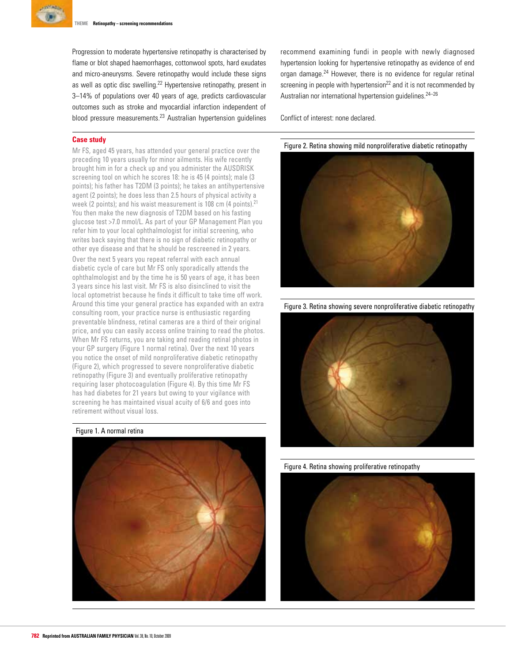

Progression to moderate hypertensive retinopathy is characterised by flame or blot shaped haemorrhages, cottonwool spots, hard exudates and micro-aneurysms. Severe retinopathy would include these signs as well as optic disc swelling.22 Hypertensive retinopathy, present in 3–14% of populations over 40 years of age, predicts cardiovascular outcomes such as stroke and myocardial infarction independent of blood pressure measurements.<sup>23</sup> Australian hypertension quidelines

#### **Case study**

Mr FS, aged 45 years, has attended your general practice over the preceding 10 years usually for minor ailments. His wife recently brought him in for a check up and you administer the AUSDRISK screening tool on which he scores 18: he is 45 (4 points); male (3 points); his father has T2DM (3 points); he takes an antihypertensive agent (2 points); he does less than 2.5 hours of physical activity a week (2 points); and his waist measurement is 108 cm (4 points).<sup>21</sup> You then make the new diagnosis of T2DM based on his fasting glucose test >7.0 mmol/L. As part of your GP Management Plan you refer him to your local ophthalmologist for initial screening, who writes back saying that there is no sign of diabetic retinopathy or other eye disease and that he should be rescreened in 2 years. Over the next 5 years you repeat referral with each annual diabetic cycle of care but Mr FS only sporadically attends the ophthalmologist and by the time he is 50 years of age, it has been 3 years since his last visit. Mr FS is also disinclined to visit the local optometrist because he finds it difficult to take time off work. Around this time your general practice has expanded with an extra consulting room, your practice nurse is enthusiastic regarding preventable blindness, retinal cameras are a third of their original price, and you can easily access online training to read the photos. When Mr FS returns, you are taking and reading retinal photos in your GP surgery (Figure 1 normal retina). Over the next 10 years you notice the onset of mild nonproliferative diabetic retinopathy (Figure 2), which progressed to severe nonproliferative diabetic retinopathy (Figure 3) and eventually proliferative retinopathy requiring laser photocoagulation (Figure 4). By this time Mr FS has had diabetes for 21 years but owing to your vigilance with screening he has maintained visual acuity of 6/6 and goes into retirement without visual loss.

#### Figure 1. A normal retina



recommend examining fundi in people with newly diagnosed hypertension looking for hypertensive retinopathy as evidence of end organ damage.24 However, there is no evidence for regular retinal screening in people with hypertension<sup>22</sup> and it is not recommended by Australian nor international hypertension guidelines.24–26

Conflict of interest: none declared.

Figure 2. Retina showing mild nonproliferative diabetic retinopathy



Figure 3. Retina showing severe nonproliferative diabetic retinopathy



Figure 4. Retina showing proliferative retinopathy